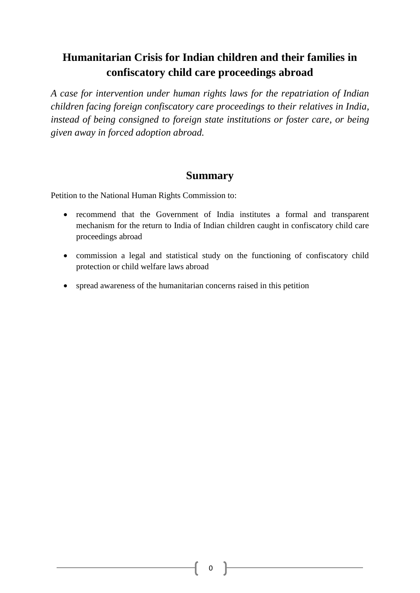# **Humanitarian Crisis for Indian children and their families in confiscatory child care proceedings abroad**

*A case for intervention under human rights laws for the repatriation of Indian children facing foreign confiscatory care proceedings to their relatives in India, instead of being consigned to foreign state institutions or foster care, or being given away in forced adoption abroad.* 

# **Summary**

Petition to the National Human Rights Commission to:

- recommend that the Government of India institutes a formal and transparent mechanism for the return to India of Indian children caught in confiscatory child care proceedings abroad
- commission a legal and statistical study on the functioning of confiscatory child protection or child welfare laws abroad
- spread awareness of the humanitarian concerns raised in this petition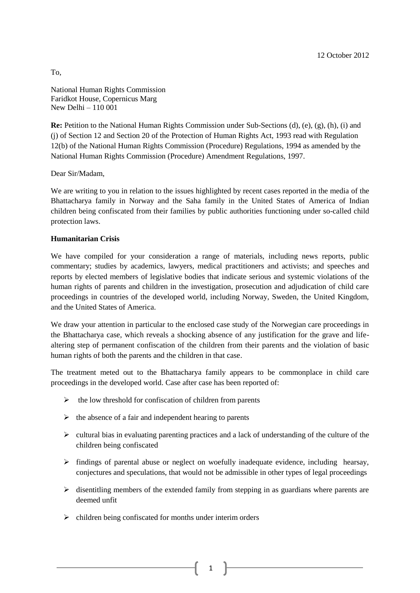National Human Rights Commission Faridkot House, Copernicus Marg New Delhi – 110 001

**Re:** Petition to the National Human Rights Commission under Sub-Sections (d), (e), (g), (h), (i) and (j) of Section 12 and Section 20 of the Protection of Human Rights Act, 1993 read with Regulation 12(b) of the National Human Rights Commission (Procedure) Regulations, 1994 as amended by the National Human Rights Commission (Procedure) Amendment Regulations, 1997.

Dear Sir/Madam,

We are writing to you in relation to the issues highlighted by recent cases reported in the media of the Bhattacharya family in Norway and the Saha family in the United States of America of Indian children being confiscated from their families by public authorities functioning under so-called child protection laws.

# **Humanitarian Crisis**

We have compiled for your consideration a range of materials, including news reports, public commentary; studies by academics, lawyers, medical practitioners and activists; and speeches and reports by elected members of legislative bodies that indicate serious and systemic violations of the human rights of parents and children in the investigation, prosecution and adjudication of child care proceedings in countries of the developed world, including Norway, Sweden, the United Kingdom, and the United States of America.

We draw your attention in particular to the enclosed case study of the Norwegian care proceedings in the Bhattacharya case, which reveals a shocking absence of any justification for the grave and lifealtering step of permanent confiscation of the children from their parents and the violation of basic human rights of both the parents and the children in that case.

The treatment meted out to the Bhattacharya family appears to be commonplace in child care proceedings in the developed world. Case after case has been reported of:

- $\triangleright$  the low threshold for confiscation of children from parents
- $\triangleright$  the absence of a fair and independent hearing to parents
- $\triangleright$  cultural bias in evaluating parenting practices and a lack of understanding of the culture of the children being confiscated
- $\triangleright$  findings of parental abuse or neglect on woefully inadequate evidence, including hearsay, conjectures and speculations, that would not be admissible in other types of legal proceedings
- $\triangleright$  disentitling members of the extended family from stepping in as guardians where parents are deemed unfit

1

 $\triangleright$  children being confiscated for months under interim orders

To,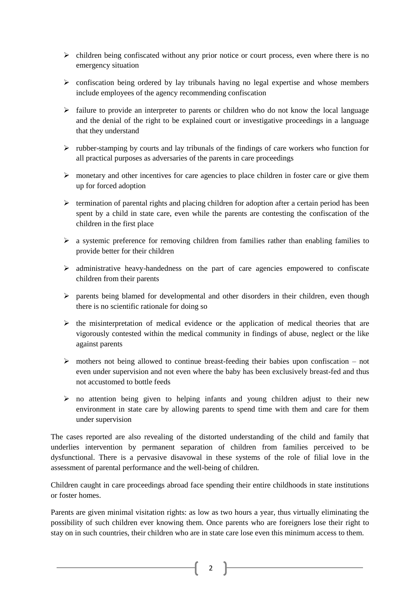- $\triangleright$  children being confiscated without any prior notice or court process, even where there is no emergency situation
- $\triangleright$  confiscation being ordered by lay tribunals having no legal expertise and whose members include employees of the agency recommending confiscation
- $\triangleright$  failure to provide an interpreter to parents or children who do not know the local language and the denial of the right to be explained court or investigative proceedings in a language that they understand
- $\triangleright$  rubber-stamping by courts and lay tribunals of the findings of care workers who function for all practical purposes as adversaries of the parents in care proceedings
- $\triangleright$  monetary and other incentives for care agencies to place children in foster care or give them up for forced adoption
- $\triangleright$  termination of parental rights and placing children for adoption after a certain period has been spent by a child in state care, even while the parents are contesting the confiscation of the children in the first place
- $\triangleright$  a systemic preference for removing children from families rather than enabling families to provide better for their children
- $\triangleright$  administrative heavy-handedness on the part of care agencies empowered to confiscate children from their parents
- $\triangleright$  parents being blamed for developmental and other disorders in their children, even though there is no scientific rationale for doing so
- $\triangleright$  the misinterpretation of medical evidence or the application of medical theories that are vigorously contested within the medical community in findings of abuse, neglect or the like against parents
- $\triangleright$  mothers not being allowed to continue breast-feeding their babies upon confiscation not even under supervision and not even where the baby has been exclusively breast-fed and thus not accustomed to bottle feeds
- $\triangleright$  no attention being given to helping infants and young children adjust to their new environment in state care by allowing parents to spend time with them and care for them under supervision

The cases reported are also revealing of the distorted understanding of the child and family that underlies intervention by permanent separation of children from families perceived to be dysfunctional. There is a pervasive disavowal in these systems of the role of filial love in the assessment of parental performance and the well-being of children.

Children caught in care proceedings abroad face spending their entire childhoods in state institutions or foster homes.

Parents are given minimal visitation rights: as low as two hours a year, thus virtually eliminating the possibility of such children ever knowing them. Once parents who are foreigners lose their right to stay on in such countries, their children who are in state care lose even this minimum access to them.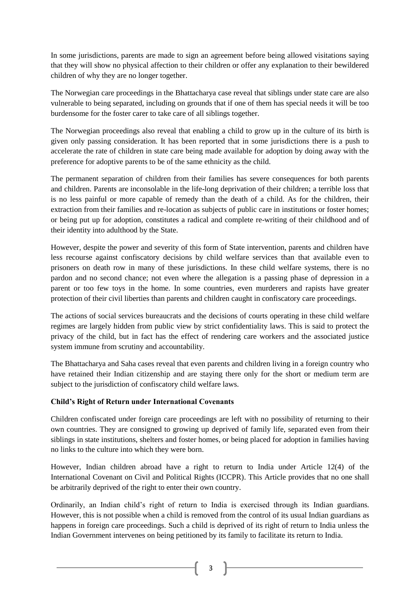In some jurisdictions, parents are made to sign an agreement before being allowed visitations saying that they will show no physical affection to their children or offer any explanation to their bewildered children of why they are no longer together.

The Norwegian care proceedings in the Bhattacharya case reveal that siblings under state care are also vulnerable to being separated, including on grounds that if one of them has special needs it will be too burdensome for the foster carer to take care of all siblings together.

The Norwegian proceedings also reveal that enabling a child to grow up in the culture of its birth is given only passing consideration. It has been reported that in some jurisdictions there is a push to accelerate the rate of children in state care being made available for adoption by doing away with the preference for adoptive parents to be of the same ethnicity as the child.

The permanent separation of children from their families has severe consequences for both parents and children. Parents are inconsolable in the life-long deprivation of their children; a terrible loss that is no less painful or more capable of remedy than the death of a child. As for the children, their extraction from their families and re-location as subjects of public care in institutions or foster homes; or being put up for adoption, constitutes a radical and complete re-writing of their childhood and of their identity into adulthood by the State.

However, despite the power and severity of this form of State intervention, parents and children have less recourse against confiscatory decisions by child welfare services than that available even to prisoners on death row in many of these jurisdictions. In these child welfare systems, there is no pardon and no second chance; not even where the allegation is a passing phase of depression in a parent or too few toys in the home. In some countries, even murderers and rapists have greater protection of their civil liberties than parents and children caught in confiscatory care proceedings.

The actions of social services bureaucrats and the decisions of courts operating in these child welfare regimes are largely hidden from public view by strict confidentiality laws. This is said to protect the privacy of the child, but in fact has the effect of rendering care workers and the associated justice system immune from scrutiny and accountability.

The Bhattacharya and Saha cases reveal that even parents and children living in a foreign country who have retained their Indian citizenship and are staying there only for the short or medium term are subject to the jurisdiction of confiscatory child welfare laws.

# **Child's Right of Return under International Covenants**

Children confiscated under foreign care proceedings are left with no possibility of returning to their own countries. They are consigned to growing up deprived of family life, separated even from their siblings in state institutions, shelters and foster homes, or being placed for adoption in families having no links to the culture into which they were born.

However, Indian children abroad have a right to return to India under Article 12(4) of the International Covenant on Civil and Political Rights (ICCPR). This Article provides that no one shall be arbitrarily deprived of the right to enter their own country.

Ordinarily, an Indian child"s right of return to India is exercised through its Indian guardians. However, this is not possible when a child is removed from the control of its usual Indian guardians as happens in foreign care proceedings. Such a child is deprived of its right of return to India unless the Indian Government intervenes on being petitioned by its family to facilitate its return to India.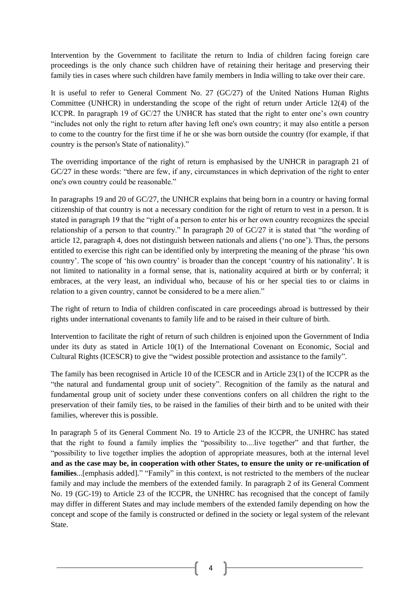Intervention by the Government to facilitate the return to India of children facing foreign care proceedings is the only chance such children have of retaining their heritage and preserving their family ties in cases where such children have family members in India willing to take over their care.

It is useful to refer to General Comment No. 27 (GC/27) of the United Nations Human Rights Committee (UNHCR) in understanding the scope of the right of return under Article 12(4) of the ICCPR. In paragraph 19 of GC/27 the UNHCR has stated that the right to enter one's own country "includes not only the right to return after having left one's own country; it may also entitle a person to come to the country for the first time if he or she was born outside the country (for example, if that country is the person's State of nationality)."

The overriding importance of the right of return is emphasised by the UNHCR in paragraph 21 of GC/27 in these words: "there are few, if any, circumstances in which deprivation of the right to enter one's own country could be reasonable."

In paragraphs 19 and 20 of GC/27, the UNHCR explains that being born in a country or having formal citizenship of that country is not a necessary condition for the right of return to vest in a person. It is stated in paragraph 19 that the "right of a person to enter his or her own country recognizes the special relationship of a person to that country." In paragraph 20 of GC/27 it is stated that "the wording of article 12, paragraph 4, does not distinguish between nationals and aliens ("no one"). Thus, the persons entitled to exercise this right can be identified only by interpreting the meaning of the phrase "his own country'. The scope of 'his own country' is broader than the concept 'country of his nationality'. It is not limited to nationality in a formal sense, that is, nationality acquired at birth or by conferral; it embraces, at the very least, an individual who, because of his or her special ties to or claims in relation to a given country, cannot be considered to be a mere alien."

The right of return to India of children confiscated in care proceedings abroad is buttressed by their rights under international covenants to family life and to be raised in their culture of birth.

Intervention to facilitate the right of return of such children is enjoined upon the Government of India under its duty as stated in Article 10(1) of the International Covenant on Economic, Social and Cultural Rights (ICESCR) to give the "widest possible protection and assistance to the family".

The family has been recognised in Article 10 of the ICESCR and in Article 23(1) of the ICCPR as the "the natural and fundamental group unit of society". Recognition of the family as the natural and fundamental group unit of society under these conventions confers on all children the right to the preservation of their family ties, to be raised in the families of their birth and to be united with their families, wherever this is possible.

In paragraph 5 of its General Comment No. 19 to Article 23 of the ICCPR, the UNHRC has stated that the right to found a family implies the "possibility to....live together" and that further, the "possibility to live together implies the adoption of appropriate measures, both at the internal level **and as the case may be, in cooperation with other States, to ensure the unity or re-unification of families**...[emphasis added]." "Family" in this context, is not restricted to the members of the nuclear family and may include the members of the extended family. In paragraph 2 of its General Comment No. 19 (GC-19) to Article 23 of the ICCPR, the UNHRC has recognised that the concept of family may differ in different States and may include members of the extended family depending on how the concept and scope of the family is constructed or defined in the society or legal system of the relevant State.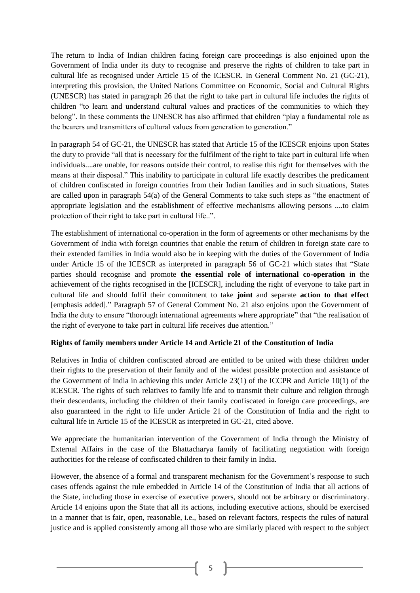The return to India of Indian children facing foreign care proceedings is also enjoined upon the Government of India under its duty to recognise and preserve the rights of children to take part in cultural life as recognised under Article 15 of the ICESCR. In General Comment No. 21 (GC-21), interpreting this provision, the United Nations Committee on Economic, Social and Cultural Rights (UNESCR) has stated in paragraph 26 that the right to take part in cultural life includes the rights of children "to learn and understand cultural values and practices of the communities to which they belong". In these comments the UNESCR has also affirmed that children "play a fundamental role as the bearers and transmitters of cultural values from generation to generation."

In paragraph 54 of GC-21, the UNESCR has stated that Article 15 of the ICESCR enjoins upon States the duty to provide "all that is necessary for the fulfilment of the right to take part in cultural life when individuals....are unable, for reasons outside their control, to realise this right for themselves with the means at their disposal." This inability to participate in cultural life exactly describes the predicament of children confiscated in foreign countries from their Indian families and in such situations, States are called upon in paragraph 54(a) of the General Comments to take such steps as "the enactment of appropriate legislation and the establishment of effective mechanisms allowing persons ....to claim protection of their right to take part in cultural life..".

The establishment of international co-operation in the form of agreements or other mechanisms by the Government of India with foreign countries that enable the return of children in foreign state care to their extended families in India would also be in keeping with the duties of the Government of India under Article 15 of the ICESCR as interpreted in paragraph 56 of GC-21 which states that "State parties should recognise and promote **the essential role of international co-operation** in the achievement of the rights recognised in the [ICESCR], including the right of everyone to take part in cultural life and should fulfil their commitment to take **joint** and separate **action to that effect** [emphasis added]." Paragraph 57 of General Comment No. 21 also enjoins upon the Government of India the duty to ensure "thorough international agreements where appropriate" that "the realisation of the right of everyone to take part in cultural life receives due attention."

#### **Rights of family members under Article 14 and Article 21 of the Constitution of India**

Relatives in India of children confiscated abroad are entitled to be united with these children under their rights to the preservation of their family and of the widest possible protection and assistance of the Government of India in achieving this under Article 23(1) of the ICCPR and Article 10(1) of the ICESCR. The rights of such relatives to family life and to transmit their culture and religion through their descendants, including the children of their family confiscated in foreign care proceedings, are also guaranteed in the right to life under Article 21 of the Constitution of India and the right to cultural life in Article 15 of the ICESCR as interpreted in GC-21, cited above.

We appreciate the humanitarian intervention of the Government of India through the Ministry of External Affairs in the case of the Bhattacharya family of facilitating negotiation with foreign authorities for the release of confiscated children to their family in India.

However, the absence of a formal and transparent mechanism for the Government's response to such cases offends against the rule embedded in Article 14 of the Constitution of India that all actions of the State, including those in exercise of executive powers, should not be arbitrary or discriminatory. Article 14 enjoins upon the State that all its actions, including executive actions, should be exercised in a manner that is fair, open, reasonable, i.e., based on relevant factors, respects the rules of natural justice and is applied consistently among all those who are similarly placed with respect to the subject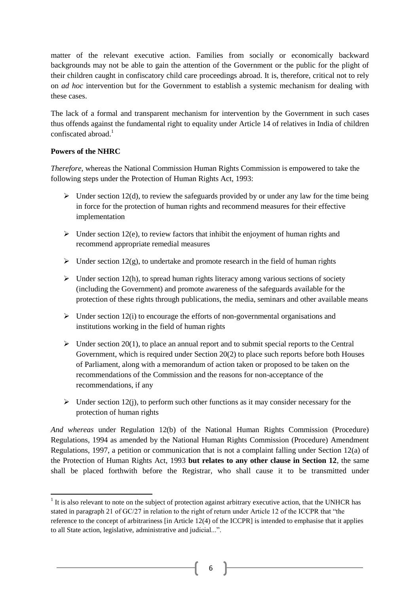matter of the relevant executive action. Families from socially or economically backward backgrounds may not be able to gain the attention of the Government or the public for the plight of their children caught in confiscatory child care proceedings abroad. It is, therefore, critical not to rely on *ad hoc* intervention but for the Government to establish a systemic mechanism for dealing with these cases.

The lack of a formal and transparent mechanism for intervention by the Government in such cases thus offends against the fundamental right to equality under Article 14 of relatives in India of children confiscated abroad. 1

#### **Powers of the NHRC**

*Therefore*, whereas the National Commission Human Rights Commission is empowered to take the following steps under the Protection of Human Rights Act, 1993:

- $\triangleright$  Under section 12(d), to review the safeguards provided by or under any law for the time being in force for the protection of human rights and recommend measures for their effective implementation
- $\triangleright$  Under section 12(e), to review factors that inhibit the enjoyment of human rights and recommend appropriate remedial measures
- $\triangleright$  Under section 12(g), to undertake and promote research in the field of human rights
- $\triangleright$  Under section 12(h), to spread human rights literacy among various sections of society (including the Government) and promote awareness of the safeguards available for the protection of these rights through publications, the media, seminars and other available means
- $\triangleright$  Under section 12(i) to encourage the efforts of non-governmental organisations and institutions working in the field of human rights
- $\triangleright$  Under section 20(1), to place an annual report and to submit special reports to the Central Government, which is required under Section 20(2) to place such reports before both Houses of Parliament, along with a memorandum of action taken or proposed to be taken on the recommendations of the Commission and the reasons for non-acceptance of the recommendations, if any
- $\triangleright$  Under section 12(j), to perform such other functions as it may consider necessary for the protection of human rights

*And whereas* under Regulation 12(b) of the National Human Rights Commission (Procedure) Regulations, 1994 as amended by the National Human Rights Commission (Procedure) Amendment Regulations, 1997, a petition or communication that is not a complaint falling under Section 12(a) of the Protection of Human Rights Act, 1993 **but relates to any other clause in Section 12**, the same shall be placed forthwith before the Registrar, who shall cause it to be transmitted under

<sup>&</sup>lt;sup>1</sup> It is also relevant to note on the subject of protection against arbitrary executive action, that the UNHCR has stated in paragraph 21 of GC/27 in relation to the right of return under Article 12 of the ICCPR that "the reference to the concept of arbitrariness [in Article 12(4) of the ICCPR] is intended to emphasise that it applies to all State action, legislative, administrative and judicial...".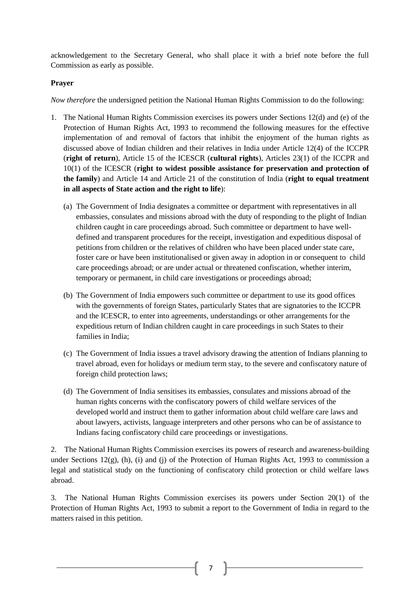acknowledgement to the Secretary General, who shall place it with a brief note before the full Commission as early as possible.

# **Prayer**

*Now therefore* the undersigned petition the National Human Rights Commission to do the following:

- 1. The National Human Rights Commission exercises its powers under Sections 12(d) and (e) of the Protection of Human Rights Act, 1993 to recommend the following measures for the effective implementation of and removal of factors that inhibit the enjoyment of the human rights as discussed above of Indian children and their relatives in India under Article 12(4) of the ICCPR (**right of return**), Article 15 of the ICESCR (**cultural rights**), Articles 23(1) of the ICCPR and 10(1) of the ICESCR (**right to widest possible assistance for preservation and protection of the family**) and Article 14 and Article 21 of the constitution of India (**right to equal treatment in all aspects of State action and the right to life**):
	- (a) The Government of India designates a committee or department with representatives in all embassies, consulates and missions abroad with the duty of responding to the plight of Indian children caught in care proceedings abroad. Such committee or department to have welldefined and transparent procedures for the receipt, investigation and expeditious disposal of petitions from children or the relatives of children who have been placed under state care, foster care or have been institutionalised or given away in adoption in or consequent to child care proceedings abroad; or are under actual or threatened confiscation, whether interim, temporary or permanent, in child care investigations or proceedings abroad;
	- (b) The Government of India empowers such committee or department to use its good offices with the governments of foreign States, particularly States that are signatories to the ICCPR and the ICESCR, to enter into agreements, understandings or other arrangements for the expeditious return of Indian children caught in care proceedings in such States to their families in India;
	- (c) The Government of India issues a travel advisory drawing the attention of Indians planning to travel abroad, even for holidays or medium term stay, to the severe and confiscatory nature of foreign child protection laws;
	- (d) The Government of India sensitises its embassies, consulates and missions abroad of the human rights concerns with the confiscatory powers of child welfare services of the developed world and instruct them to gather information about child welfare care laws and about lawyers, activists, language interpreters and other persons who can be of assistance to Indians facing confiscatory child care proceedings or investigations.

2. The National Human Rights Commission exercises its powers of research and awareness-building under Sections 12(g), (h), (i) and (j) of the Protection of Human Rights Act, 1993 to commission a legal and statistical study on the functioning of confiscatory child protection or child welfare laws abroad.

3. The National Human Rights Commission exercises its powers under Section 20(1) of the Protection of Human Rights Act, 1993 to submit a report to the Government of India in regard to the matters raised in this petition.